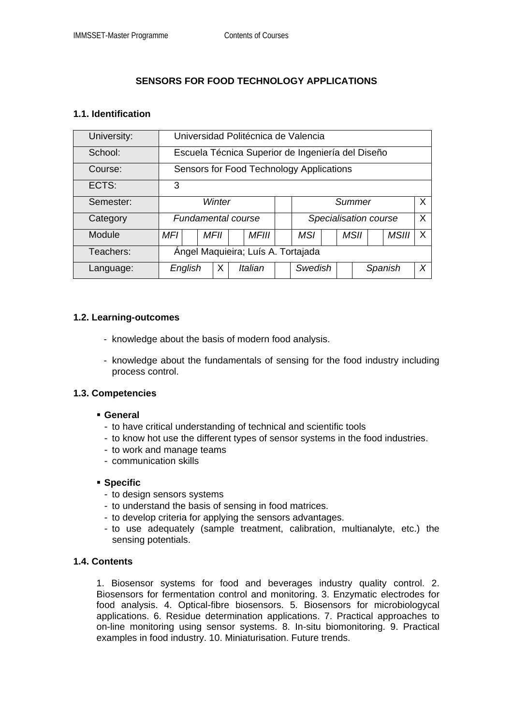# **SENSORS FOR FOOD TECHNOLOGY APPLICATIONS**

#### **1.1. Identification**

| University: | Universidad Politécnica de Valencia               |  |             |  |              |  |                       |  |  |      |         |              |   |
|-------------|---------------------------------------------------|--|-------------|--|--------------|--|-----------------------|--|--|------|---------|--------------|---|
| School:     | Escuela Técnica Superior de Ingeniería del Diseño |  |             |  |              |  |                       |  |  |      |         |              |   |
| Course:     | Sensors for Food Technology Applications          |  |             |  |              |  |                       |  |  |      |         |              |   |
| ECTS:       | 3                                                 |  |             |  |              |  |                       |  |  |      |         |              |   |
| Semester:   | Winter                                            |  |             |  |              |  | X<br>Summer           |  |  |      |         |              |   |
| Category    | <b>Fundamental course</b>                         |  |             |  |              |  | Specialisation course |  |  |      |         |              | X |
| Module      | MFI                                               |  | <i>MFII</i> |  | <i>MFIII</i> |  | <b>MSI</b>            |  |  | MSII |         | <b>MSIII</b> | X |
| Teachers:   | Ángel Maquieira; Luís A. Tortajada                |  |             |  |              |  |                       |  |  |      |         |              |   |
| Language:   | English                                           |  | X           |  | Italian      |  | Swedish               |  |  |      | Spanish |              | X |

#### **1.2. Learning-outcomes**

- knowledge about the basis of modern food analysis.
- knowledge about the fundamentals of sensing for the food industry including process control.

#### **1.3. Competencies**

- **General** 
	- to have critical understanding of technical and scientific tools
	- to know hot use the different types of sensor systems in the food industries.
	- to work and manage teams
	- communication skills

#### **Specific**

- to design sensors systems
- to understand the basis of sensing in food matrices.
- to develop criteria for applying the sensors advantages.
- to use adequately (sample treatment, calibration, multianalyte, etc.) the sensing potentials.

## **1.4. Contents**

1. Biosensor systems for food and beverages industry quality control. 2. Biosensors for fermentation control and monitoring. 3. Enzymatic electrodes for food analysis. 4. Optical-fibre biosensors. 5. Biosensors for microbiologycal applications. 6. Residue determination applications. 7. Practical approaches to on-line monitoring using sensor systems. 8. In-situ biomonitoring. 9. Practical examples in food industry. 10. Miniaturisation. Future trends.